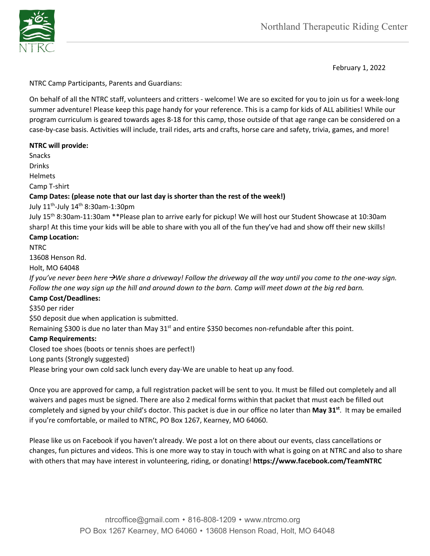

February 1, 2022

NTRC Camp Participants, Parents and Guardians:

On behalf of all the NTRC staff, volunteers and critters - welcome! We are so excited for you to join us for a week-long summer adventure! Please keep this page handy for your reference. This is a camp for kids of ALL abilities! While our program curriculum is geared towards ages 8-18 for this camp, those outside of that age range can be considered on a case-by-case basis. Activities will include, trail rides, arts and crafts, horse care and safety, trivia, games, and more!

# **NTRC will provide:**

Snacks

Drinks

Helmets

Camp T-shirt

# **Camp Dates: (please note that our last day is shorter than the rest of the week!)**

July  $11^{th}$ -July  $14^{th}$  8:30am-1:30pm

July 15th 8:30am-11:30am \*\*Please plan to arrive early for pickup! We will host our Student Showcase at 10:30am sharp! At this time your kids will be able to share with you all of the fun they've had and show off their new skills!

# **Camp Location:**

NTRC

13608 Henson Rd.

Holt, MO 64048

*If you've never been here*  $\rightarrow$ *We share a driveway! Follow the driveway all the way until you come to the one-way sign. Follow the one way sign up the hill and around down to the barn. Camp will meet down at the big red barn.*

# **Camp Cost/Deadlines:**

\$350 per rider

\$50 deposit due when application is submitted.

Remaining \$300 is due no later than May  $31<sup>st</sup>$  and entire \$350 becomes non-refundable after this point.

# **Camp Requirements:**

Closed toe shoes (boots or tennis shoes are perfect!)

Long pants (Strongly suggested)

Please bring your own cold sack lunch every day-We are unable to heat up any food.

Once you are approved for camp, a full registration packet will be sent to you. It must be filled out completely and all waivers and pages must be signed. There are also 2 medical forms within that packet that must each be filled out completely and signed by your child's doctor. This packet is due in our office no later than **May 31st**. It may be emailed if you're comfortable, or mailed to NTRC, PO Box 1267, Kearney, MO 64060.

Please like us on Facebook if you haven't already. We post a lot on there about our events, class cancellations or changes, fun pictures and videos. This is one more way to stay in touch with what is going on at NTRC and also to share with others that may have interest in volunteering, riding, or donating! **https://www.facebook.com/TeamNTRC**